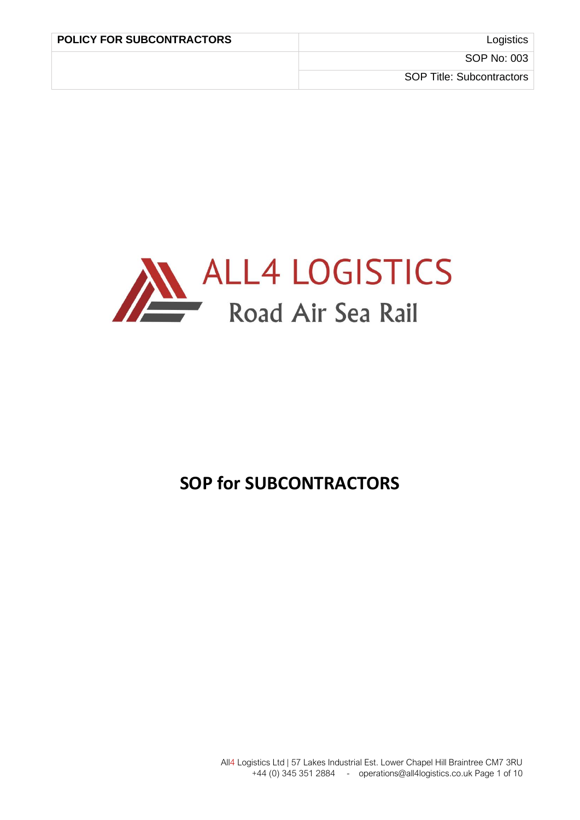

# **SOP for SUBCONTRACTORS**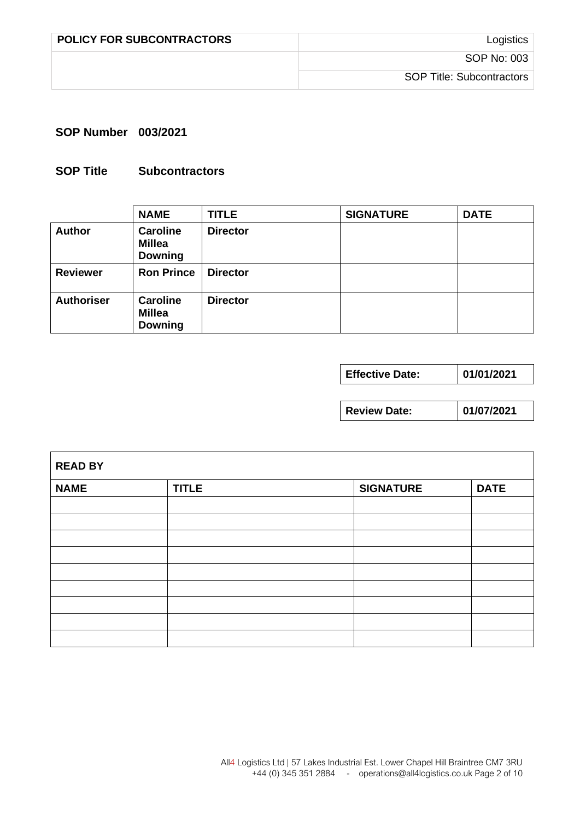| <b>POLICY FOR SUBCONTRACTORS</b> | Logistics                        |
|----------------------------------|----------------------------------|
|                                  | SOP No: 003                      |
|                                  | <b>SOP Title: Subcontractors</b> |

#### **SOP Number 003/2021**

## **SOP Title Subcontractors**

|                   | <b>NAME</b>                                        | <b>TITLE</b>    | <b>SIGNATURE</b> | <b>DATE</b> |
|-------------------|----------------------------------------------------|-----------------|------------------|-------------|
| <b>Author</b>     | <b>Caroline</b><br><b>Millea</b><br><b>Downing</b> | <b>Director</b> |                  |             |
| <b>Reviewer</b>   | <b>Ron Prince</b>                                  | <b>Director</b> |                  |             |
| <b>Authoriser</b> | <b>Caroline</b><br><b>Millea</b><br><b>Downing</b> | <b>Director</b> |                  |             |

**Review Date: 01/07/2021**

| <b>READ BY</b> |              |                  |             |
|----------------|--------------|------------------|-------------|
| <b>NAME</b>    | <b>TITLE</b> | <b>SIGNATURE</b> | <b>DATE</b> |
|                |              |                  |             |
|                |              |                  |             |
|                |              |                  |             |
|                |              |                  |             |
|                |              |                  |             |
|                |              |                  |             |
|                |              |                  |             |
|                |              |                  |             |
|                |              |                  |             |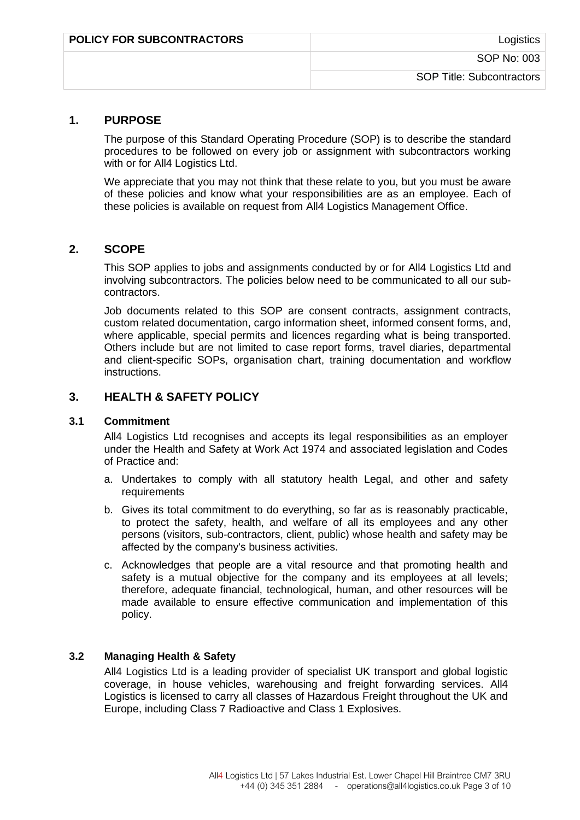| <b>POLICY FOR SUBCONTRACTORS</b> | Logistics                 |
|----------------------------------|---------------------------|
|                                  | SOP No: 003               |
|                                  | SOP Title: Subcontractors |

#### **1. PURPOSE**

The purpose of this Standard Operating Procedure (SOP) is to describe the standard procedures to be followed on every job or assignment with subcontractors working with or for All4 Logistics Ltd.

We appreciate that you may not think that these relate to you, but you must be aware of these policies and know what your responsibilities are as an employee. Each of these policies is available on request from All4 Logistics Management Office.

## **2. SCOPE**

This SOP applies to jobs and assignments conducted by or for All4 Logistics Ltd and involving subcontractors. The policies below need to be communicated to all our subcontractors.

Job documents related to this SOP are consent contracts, assignment contracts, custom related documentation, cargo information sheet, informed consent forms, and, where applicable, special permits and licences regarding what is being transported. Others include but are not limited to case report forms, travel diaries, departmental and client-specific SOPs, organisation chart, training documentation and workflow instructions.

#### **3. HEALTH & SAFETY POLICY**

#### **3.1 Commitment**

All4 Logistics Ltd recognises and accepts its legal responsibilities as an employer under the Health and Safety at Work Act 1974 and associated legislation and Codes of Practice and:

- a. Undertakes to comply with all statutory health Legal, and other and safety requirements
- b. Gives its total commitment to do everything, so far as is reasonably practicable, to protect the safety, health, and welfare of all its employees and any other persons (visitors, sub-contractors, client, public) whose health and safety may be affected by the company's business activities.
- c. Acknowledges that people are a vital resource and that promoting health and safety is a mutual objective for the company and its employees at all levels; therefore, adequate financial, technological, human, and other resources will be made available to ensure effective communication and implementation of this policy.

#### **3.2 Managing Health & Safety**

All4 Logistics Ltd is a leading provider of specialist UK transport and global logistic coverage, in house vehicles, warehousing and freight forwarding services. All4 Logistics is licensed to carry all classes of Hazardous Freight throughout the UK and Europe, including Class 7 Radioactive and Class 1 Explosives.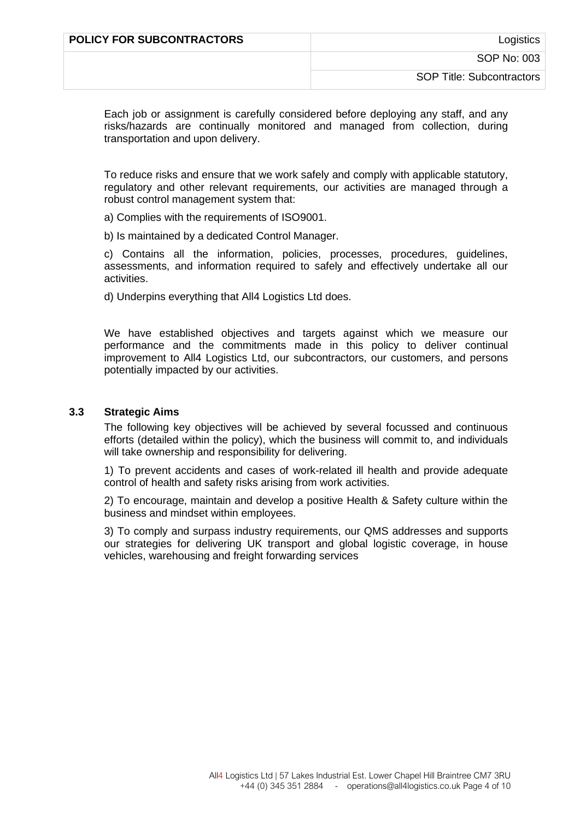| <b>POLICY FOR SUBCONTRACTORS</b> | Logistics                        |
|----------------------------------|----------------------------------|
|                                  | SOP No: 003                      |
|                                  | <b>SOP Title: Subcontractors</b> |

Each job or assignment is carefully considered before deploying any staff, and any risks/hazards are continually monitored and managed from collection, during transportation and upon delivery.

To reduce risks and ensure that we work safely and comply with applicable statutory, regulatory and other relevant requirements, our activities are managed through a robust control management system that:

a) Complies with the requirements of ISO9001.

b) Is maintained by a dedicated Control Manager.

c) Contains all the information, policies, processes, procedures, guidelines, assessments, and information required to safely and effectively undertake all our activities.

d) Underpins everything that All4 Logistics Ltd does.

We have established objectives and targets against which we measure our performance and the commitments made in this policy to deliver continual improvement to All4 Logistics Ltd, our subcontractors, our customers, and persons potentially impacted by our activities.

#### **3.3 Strategic Aims**

The following key objectives will be achieved by several focussed and continuous efforts (detailed within the policy), which the business will commit to, and individuals will take ownership and responsibility for delivering.

1) To prevent accidents and cases of work-related ill health and provide adequate control of health and safety risks arising from work activities.

2) To encourage, maintain and develop a positive Health & Safety culture within the business and mindset within employees.

3) To comply and surpass industry requirements, our QMS addresses and supports our strategies for delivering UK transport and global logistic coverage, in house vehicles, warehousing and freight forwarding services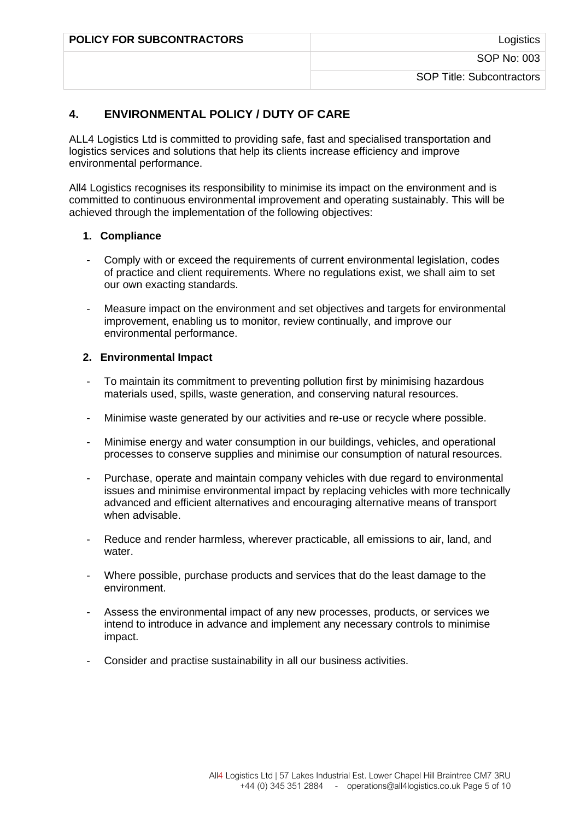| <b>POLICY FOR SUBCONTRACTORS</b> | Logistics                 |
|----------------------------------|---------------------------|
|                                  | SOP No: 003               |
|                                  | SOP Title: Subcontractors |
|                                  |                           |

# **4. ENVIRONMENTAL POLICY / DUTY OF CARE**

ALL4 Logistics Ltd is committed to providing safe, fast and specialised transportation and logistics services and solutions that help its clients increase efficiency and improve environmental performance.

All4 Logistics recognises its responsibility to minimise its impact on the environment and is committed to continuous environmental improvement and operating sustainably. This will be achieved through the implementation of the following objectives:

#### **1. Compliance**

- Comply with or exceed the requirements of current environmental legislation, codes of practice and client requirements. Where no regulations exist, we shall aim to set our own exacting standards.
- Measure impact on the environment and set objectives and targets for environmental improvement, enabling us to monitor, review continually, and improve our environmental performance.

#### **2. Environmental Impact**

- To maintain its commitment to preventing pollution first by minimising hazardous materials used, spills, waste generation, and conserving natural resources.
- Minimise waste generated by our activities and re-use or recycle where possible.
- Minimise energy and water consumption in our buildings, vehicles, and operational processes to conserve supplies and minimise our consumption of natural resources.
- Purchase, operate and maintain company vehicles with due regard to environmental issues and minimise environmental impact by replacing vehicles with more technically advanced and efficient alternatives and encouraging alternative means of transport when advisable.
- Reduce and render harmless, wherever practicable, all emissions to air, land, and water.
- Where possible, purchase products and services that do the least damage to the environment.
- Assess the environmental impact of any new processes, products, or services we intend to introduce in advance and implement any necessary controls to minimise impact.
- Consider and practise sustainability in all our business activities.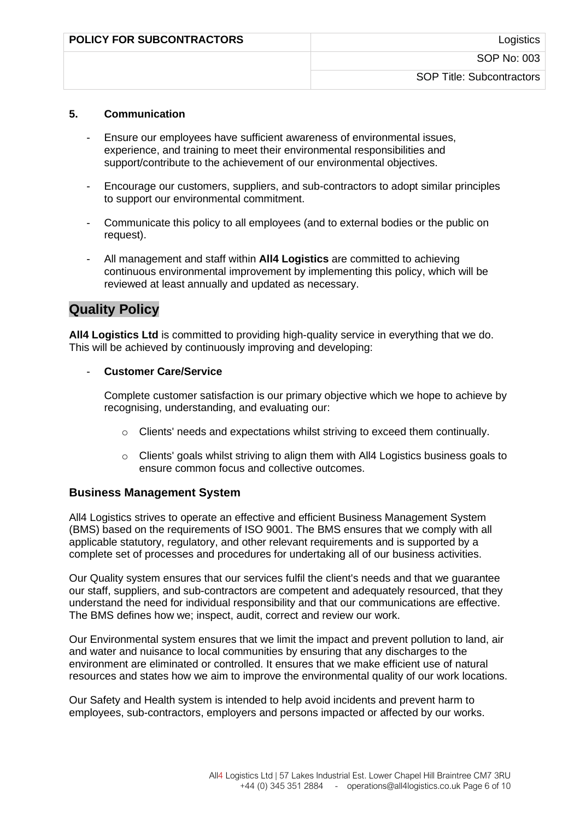| <b>POLICY FOR SUBCONTRACTORS</b> | Logistics                        |
|----------------------------------|----------------------------------|
|                                  | SOP No: 003                      |
|                                  | <b>SOP Title: Subcontractors</b> |

#### **5. Communication**

- Ensure our employees have sufficient awareness of environmental issues, experience, and training to meet their environmental responsibilities and support/contribute to the achievement of our environmental objectives.
- Encourage our customers, suppliers, and sub-contractors to adopt similar principles to support our environmental commitment.
- Communicate this policy to all employees (and to external bodies or the public on request).
- All management and staff within **All4 Logistics** are committed to achieving continuous environmental improvement by implementing this policy, which will be reviewed at least annually and updated as necessary.

# **Quality Policy**

**All4 Logistics Ltd** is committed to providing high-quality service in everything that we do. This will be achieved by continuously improving and developing:

#### - **Customer Care/Service**

Complete customer satisfaction is our primary objective which we hope to achieve by recognising, understanding, and evaluating our:

- o Clients' needs and expectations whilst striving to exceed them continually.
- $\circ$  Clients' goals whilst striving to align them with All4 Logistics business goals to ensure common focus and collective outcomes.

#### **Business Management System**

All4 Logistics strives to operate an effective and efficient Business Management System (BMS) based on the requirements of ISO 9001. The BMS ensures that we comply with all applicable statutory, regulatory, and other relevant requirements and is supported by a complete set of processes and procedures for undertaking all of our business activities.

Our Quality system ensures that our services fulfil the client's needs and that we guarantee our staff, suppliers, and sub-contractors are competent and adequately resourced, that they understand the need for individual responsibility and that our communications are effective. The BMS defines how we; inspect, audit, correct and review our work.

Our Environmental system ensures that we limit the impact and prevent pollution to land, air and water and nuisance to local communities by ensuring that any discharges to the environment are eliminated or controlled. It ensures that we make efficient use of natural resources and states how we aim to improve the environmental quality of our work locations.

Our Safety and Health system is intended to help avoid incidents and prevent harm to employees, sub-contractors, employers and persons impacted or affected by our works.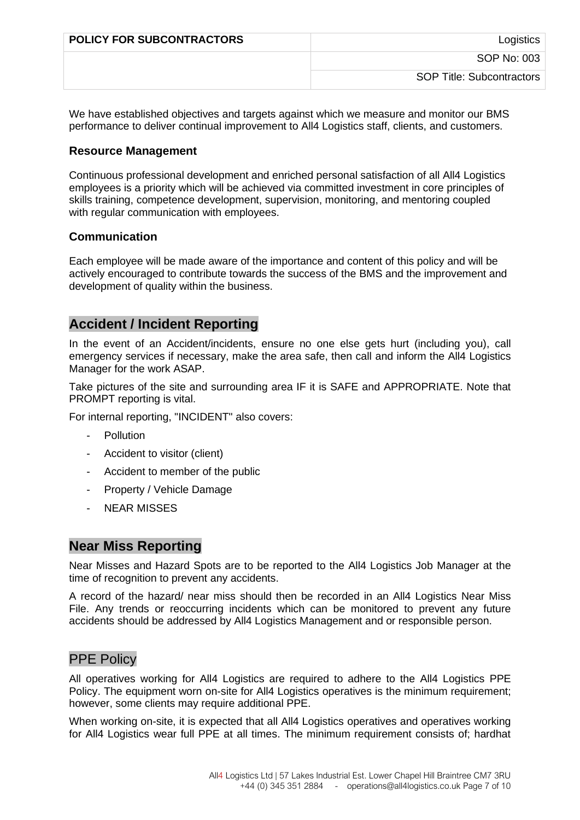| <b>POLICY FOR SUBCONTRACTORS</b> | Logistics                 |
|----------------------------------|---------------------------|
|                                  | SOP No: 003               |
|                                  | SOP Title: Subcontractors |

We have established objectives and targets against which we measure and monitor our BMS performance to deliver continual improvement to All4 Logistics staff, clients, and customers.

#### **Resource Management**

Continuous professional development and enriched personal satisfaction of all All4 Logistics employees is a priority which will be achieved via committed investment in core principles of skills training, competence development, supervision, monitoring, and mentoring coupled with regular communication with employees.

## **Communication**

Each employee will be made aware of the importance and content of this policy and will be actively encouraged to contribute towards the success of the BMS and the improvement and development of quality within the business.

# **Accident / Incident Reporting**

In the event of an Accident/incidents, ensure no one else gets hurt (including you), call emergency services if necessary, make the area safe, then call and inform the All4 Logistics Manager for the work ASAP.

Take pictures of the site and surrounding area IF it is SAFE and APPROPRIATE. Note that PROMPT reporting is vital.

For internal reporting, "INCIDENT" also covers:

- **Pollution**
- Accident to visitor (client)
- Accident to member of the public
- Property / Vehicle Damage
- NEAR MISSES

## **Near Miss Reporting**

Near Misses and Hazard Spots are to be reported to the All4 Logistics Job Manager at the time of recognition to prevent any accidents.

A record of the hazard/ near miss should then be recorded in an All4 Logistics Near Miss File. Any trends or reoccurring incidents which can be monitored to prevent any future accidents should be addressed by All4 Logistics Management and or responsible person.

## **PPE Policy**

All operatives working for All4 Logistics are required to adhere to the All4 Logistics PPE Policy. The equipment worn on-site for All4 Logistics operatives is the minimum requirement; however, some clients may require additional PPE.

When working on-site, it is expected that all All4 Logistics operatives and operatives working for All4 Logistics wear full PPE at all times. The minimum requirement consists of; hardhat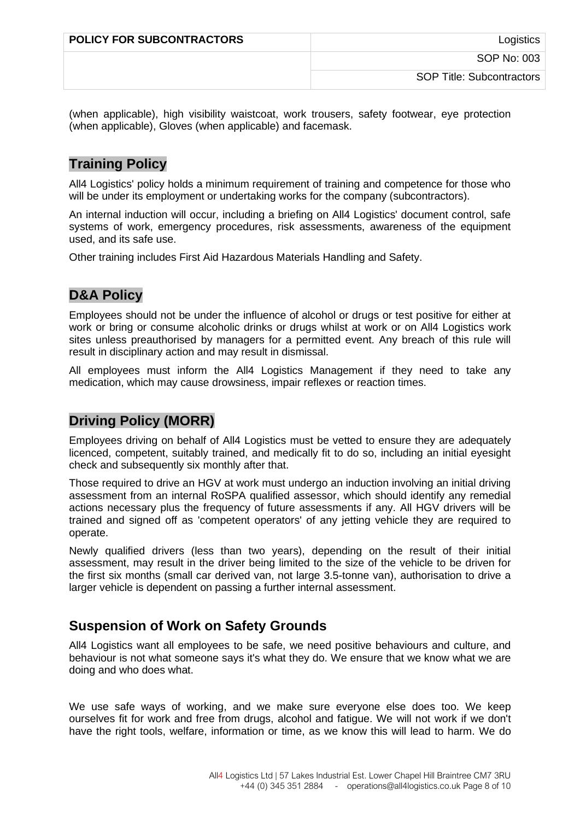| <b>POLICY FOR SUBCONTRACTORS</b> | Logistics                        |
|----------------------------------|----------------------------------|
|                                  | SOP No: 003                      |
|                                  | <b>SOP Title: Subcontractors</b> |

(when applicable), high visibility waistcoat, work trousers, safety footwear, eye protection (when applicable), Gloves (when applicable) and facemask.

# **Training Policy**

All4 Logistics' policy holds a minimum requirement of training and competence for those who will be under its employment or undertaking works for the company (subcontractors).

An internal induction will occur, including a briefing on All4 Logistics' document control, safe systems of work, emergency procedures, risk assessments, awareness of the equipment used, and its safe use.

Other training includes First Aid Hazardous Materials Handling and Safety.

# **D&A Policy**

Employees should not be under the influence of alcohol or drugs or test positive for either at work or bring or consume alcoholic drinks or drugs whilst at work or on All4 Logistics work sites unless preauthorised by managers for a permitted event. Any breach of this rule will result in disciplinary action and may result in dismissal.

All employees must inform the All4 Logistics Management if they need to take any medication, which may cause drowsiness, impair reflexes or reaction times.

# **Driving Policy (MORR)**

Employees driving on behalf of All4 Logistics must be vetted to ensure they are adequately licenced, competent, suitably trained, and medically fit to do so, including an initial eyesight check and subsequently six monthly after that.

Those required to drive an HGV at work must undergo an induction involving an initial driving assessment from an internal RoSPA qualified assessor, which should identify any remedial actions necessary plus the frequency of future assessments if any. All HGV drivers will be trained and signed off as 'competent operators' of any jetting vehicle they are required to operate.

Newly qualified drivers (less than two years), depending on the result of their initial assessment, may result in the driver being limited to the size of the vehicle to be driven for the first six months (small car derived van, not large 3.5-tonne van), authorisation to drive a larger vehicle is dependent on passing a further internal assessment.

# **Suspension of Work on Safety Grounds**

All4 Logistics want all employees to be safe, we need positive behaviours and culture, and behaviour is not what someone says it's what they do. We ensure that we know what we are doing and who does what.

We use safe ways of working, and we make sure everyone else does too. We keep ourselves fit for work and free from drugs, alcohol and fatigue. We will not work if we don't have the right tools, welfare, information or time, as we know this will lead to harm. We do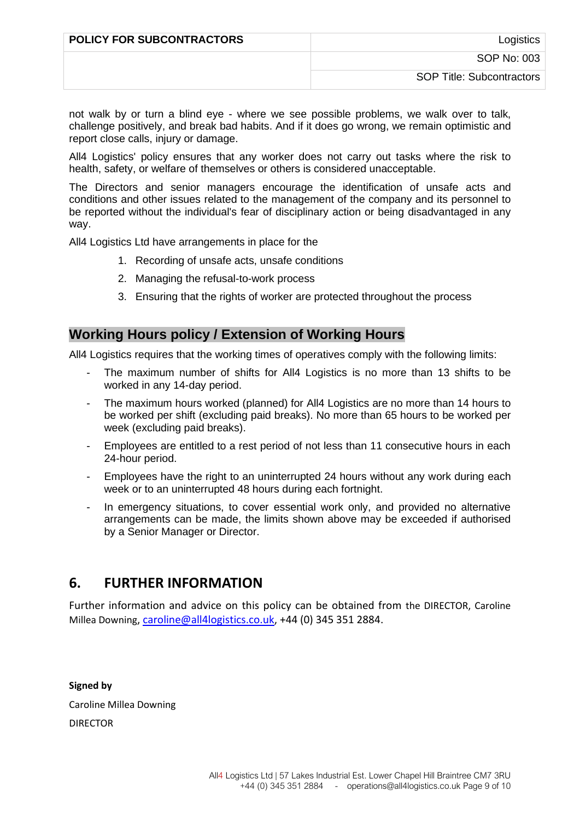| <b>POLICY FOR SUBCONTRACTORS</b> | Logistics                 |
|----------------------------------|---------------------------|
|                                  | SOP No: 003               |
|                                  | SOP Title: Subcontractors |

not walk by or turn a blind eye - where we see possible problems, we walk over to talk, challenge positively, and break bad habits. And if it does go wrong, we remain optimistic and report close calls, injury or damage.

All4 Logistics' policy ensures that any worker does not carry out tasks where the risk to health, safety, or welfare of themselves or others is considered unacceptable.

The Directors and senior managers encourage the identification of unsafe acts and conditions and other issues related to the management of the company and its personnel to be reported without the individual's fear of disciplinary action or being disadvantaged in any way.

All4 Logistics Ltd have arrangements in place for the

- 1. Recording of unsafe acts, unsafe conditions
- 2. Managing the refusal-to-work process
- 3. Ensuring that the rights of worker are protected throughout the process

## **Working Hours policy / Extension of Working Hours**

All4 Logistics requires that the working times of operatives comply with the following limits:

- The maximum number of shifts for All4 Logistics is no more than 13 shifts to be worked in any 14-day period.
- The maximum hours worked (planned) for All4 Logistics are no more than 14 hours to be worked per shift (excluding paid breaks). No more than 65 hours to be worked per week (excluding paid breaks).
- Employees are entitled to a rest period of not less than 11 consecutive hours in each 24-hour period.
- Employees have the right to an uninterrupted 24 hours without any work during each week or to an uninterrupted 48 hours during each fortnight.
- In emergency situations, to cover essential work only, and provided no alternative arrangements can be made, the limits shown above may be exceeded if authorised by a Senior Manager or Director.

# **6. FURTHER INFORMATION**

Further information and advice on this policy can be obtained from the DIRECTOR, Caroline Millea Downing, [caroline@all4logistics.co.uk,](mailto:caroline@all4logistics.co.uk) +44 (0) 345 351 2884.

#### **Signed by**

Caroline Millea Downing

DIRECTOR